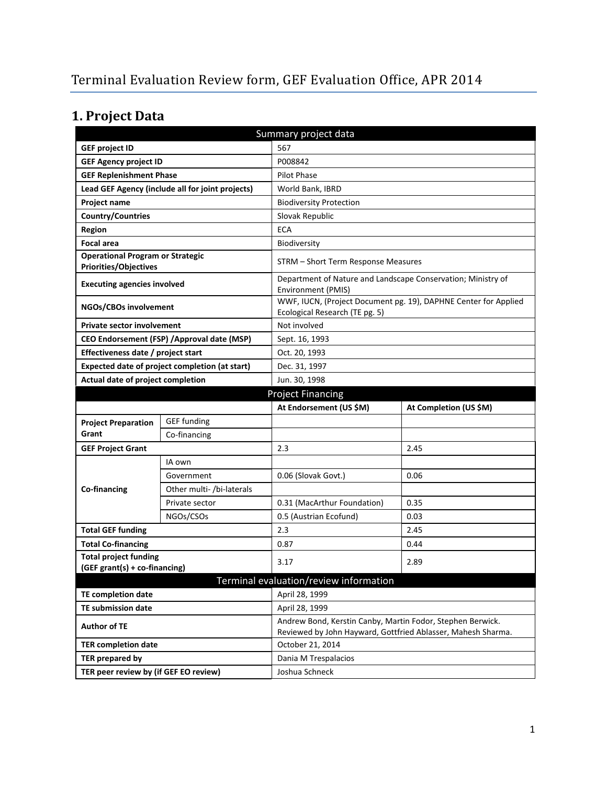# **1. Project Data**

| Summary project data                                                    |                                                |                                                                                                                            |                                                                 |  |  |
|-------------------------------------------------------------------------|------------------------------------------------|----------------------------------------------------------------------------------------------------------------------------|-----------------------------------------------------------------|--|--|
| <b>GEF project ID</b>                                                   |                                                | 567                                                                                                                        |                                                                 |  |  |
| <b>GEF Agency project ID</b>                                            |                                                | P008842                                                                                                                    |                                                                 |  |  |
| <b>GEF Replenishment Phase</b>                                          |                                                | Pilot Phase                                                                                                                |                                                                 |  |  |
| Lead GEF Agency (include all for joint projects)                        |                                                | World Bank, IBRD                                                                                                           |                                                                 |  |  |
| <b>Project name</b>                                                     |                                                | <b>Biodiversity Protection</b>                                                                                             |                                                                 |  |  |
| Country/Countries                                                       |                                                | Slovak Republic                                                                                                            |                                                                 |  |  |
| <b>Region</b>                                                           |                                                | <b>ECA</b>                                                                                                                 |                                                                 |  |  |
| <b>Focal area</b>                                                       |                                                | Biodiversity                                                                                                               |                                                                 |  |  |
| <b>Operational Program or Strategic</b><br><b>Priorities/Objectives</b> |                                                | STRM - Short Term Response Measures                                                                                        |                                                                 |  |  |
| <b>Executing agencies involved</b>                                      |                                                | Department of Nature and Landscape Conservation; Ministry of<br><b>Environment (PMIS)</b>                                  |                                                                 |  |  |
| NGOs/CBOs involvement                                                   |                                                | Ecological Research (TE pg. 5)                                                                                             | WWF, IUCN, (Project Document pg. 19), DAPHNE Center for Applied |  |  |
| <b>Private sector involvement</b>                                       |                                                | Not involved                                                                                                               |                                                                 |  |  |
|                                                                         | CEO Endorsement (FSP) / Approval date (MSP)    | Sept. 16, 1993                                                                                                             |                                                                 |  |  |
| Effectiveness date / project start                                      |                                                | Oct. 20, 1993                                                                                                              |                                                                 |  |  |
|                                                                         | Expected date of project completion (at start) | Dec. 31, 1997                                                                                                              |                                                                 |  |  |
| Actual date of project completion                                       |                                                | Jun. 30, 1998                                                                                                              |                                                                 |  |  |
|                                                                         |                                                | <b>Project Financing</b>                                                                                                   |                                                                 |  |  |
|                                                                         |                                                |                                                                                                                            |                                                                 |  |  |
|                                                                         |                                                | At Endorsement (US \$M)                                                                                                    | At Completion (US \$M)                                          |  |  |
| <b>Project Preparation</b>                                              | <b>GEF</b> funding                             |                                                                                                                            |                                                                 |  |  |
| Grant                                                                   | Co-financing                                   |                                                                                                                            |                                                                 |  |  |
| <b>GEF Project Grant</b>                                                |                                                | 2.3                                                                                                                        | 2.45                                                            |  |  |
|                                                                         | IA own                                         |                                                                                                                            |                                                                 |  |  |
|                                                                         | Government                                     | 0.06 (Slovak Govt.)                                                                                                        | 0.06                                                            |  |  |
| Co-financing                                                            | Other multi- /bi-laterals                      |                                                                                                                            |                                                                 |  |  |
|                                                                         | Private sector                                 | 0.31 (MacArthur Foundation)                                                                                                | 0.35                                                            |  |  |
|                                                                         | NGOs/CSOs                                      | 0.5 (Austrian Ecofund)                                                                                                     | 0.03                                                            |  |  |
| <b>Total GEF funding</b>                                                |                                                | 2.3                                                                                                                        | 2.45                                                            |  |  |
| <b>Total Co-financing</b>                                               |                                                | 0.87                                                                                                                       | 0.44                                                            |  |  |
| <b>Total project funding</b><br>(GEF grant(s) + co-financing)           |                                                | 3.17                                                                                                                       | 2.89                                                            |  |  |
|                                                                         |                                                | Terminal evaluation/review information                                                                                     |                                                                 |  |  |
| <b>TE completion date</b>                                               |                                                | April 28, 1999                                                                                                             |                                                                 |  |  |
| <b>TE submission date</b>                                               |                                                | April 28, 1999                                                                                                             |                                                                 |  |  |
| <b>Author of TE</b>                                                     |                                                | Andrew Bond, Kerstin Canby, Martin Fodor, Stephen Berwick.<br>Reviewed by John Hayward, Gottfried Ablasser, Mahesh Sharma. |                                                                 |  |  |
| <b>TER completion date</b>                                              |                                                | October 21, 2014                                                                                                           |                                                                 |  |  |
| TER prepared by                                                         |                                                | Dania M Trespalacios                                                                                                       |                                                                 |  |  |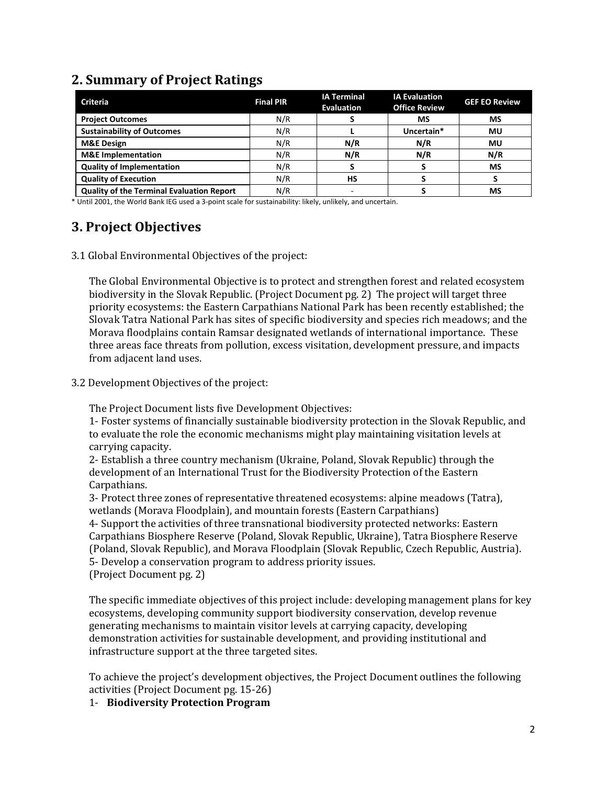### **2. Summary of Project Ratings**

| <b>Criteria</b>                                  | <b>Final PIR</b> | <b>IA Terminal</b><br><b>Evaluation</b> | <b>IA Evaluation</b><br><b>Office Review</b> | <b>GEF EO Review</b> |
|--------------------------------------------------|------------------|-----------------------------------------|----------------------------------------------|----------------------|
| <b>Project Outcomes</b>                          | N/R              |                                         | ΜS                                           | MS                   |
| <b>Sustainability of Outcomes</b>                | N/R              |                                         | Uncertain*                                   | MU                   |
| <b>M&amp;E Design</b>                            | N/R              | N/R                                     | N/R                                          | Mυ                   |
| <b>M&amp;E</b> Implementation                    | N/R              | N/R                                     | N/R                                          | N/R                  |
| <b>Quality of Implementation</b>                 | N/R              |                                         |                                              | MS                   |
| <b>Quality of Execution</b>                      | N/R              | HS                                      |                                              |                      |
| <b>Quality of the Terminal Evaluation Report</b> | N/R              | <u>. .</u>                              |                                              | MS                   |

\* Until 2001, the World Bank IEG used a 3-point scale for sustainability: likely, unlikely, and uncertain.

## **3. Project Objectives**

3.1 Global Environmental Objectives of the project:

The Global Environmental Objective is to protect and strengthen forest and related ecosystem biodiversity in the Slovak Republic. (Project Document pg. 2) The project will target three priority ecosystems: the Eastern Carpathians National Park has been recently established; the Slovak Tatra National Park has sites of specific biodiversity and species rich meadows; and the Morava floodplains contain Ramsar designated wetlands of international importance. These three areas face threats from pollution, excess visitation, development pressure, and impacts from adjacent land uses.

3.2 Development Objectives of the project:

The Project Document lists five Development Objectives:

1- Foster systems of financially sustainable biodiversity protection in the Slovak Republic, and to evaluate the role the economic mechanisms might play maintaining visitation levels at carrying capacity.

2- Establish a three country mechanism (Ukraine, Poland, Slovak Republic) through the development of an International Trust for the Biodiversity Protection of the Eastern Carpathians.

3- Protect three zones of representative threatened ecosystems: alpine meadows (Tatra), wetlands (Morava Floodplain), and mountain forests (Eastern Carpathians)

4- Support the activities of three transnational biodiversity protected networks: Eastern Carpathians Biosphere Reserve (Poland, Slovak Republic, Ukraine), Tatra Biosphere Reserve (Poland, Slovak Republic), and Morava Floodplain (Slovak Republic, Czech Republic, Austria). 5- Develop a conservation program to address priority issues.

(Project Document pg. 2)

The specific immediate objectives of this project include: developing management plans for key ecosystems, developing community support biodiversity conservation, develop revenue generating mechanisms to maintain visitor levels at carrying capacity, developing demonstration activities for sustainable development, and providing institutional and infrastructure support at the three targeted sites.

To achieve the project's development objectives, the Project Document outlines the following activities (Project Document pg. 15-26)

#### 1- **Biodiversity Protection Program**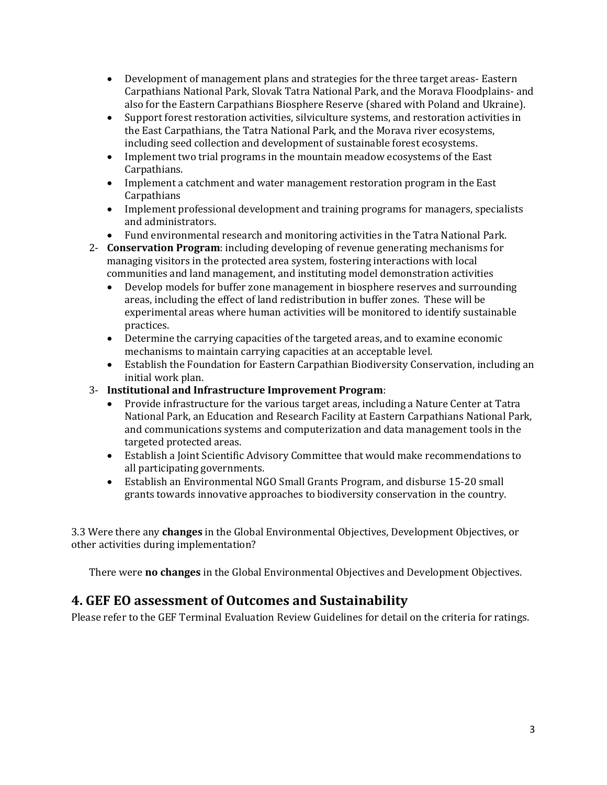- Development of management plans and strategies for the three target areas- Eastern Carpathians National Park, Slovak Tatra National Park, and the Morava Floodplains- and also for the Eastern Carpathians Biosphere Reserve (shared with Poland and Ukraine).
- Support forest restoration activities, silviculture systems, and restoration activities in the East Carpathians, the Tatra National Park, and the Morava river ecosystems, including seed collection and development of sustainable forest ecosystems.
- Implement two trial programs in the mountain meadow ecosystems of the East Carpathians.
- Implement a catchment and water management restoration program in the East Carpathians
- Implement professional development and training programs for managers, specialists and administrators.
- Fund environmental research and monitoring activities in the Tatra National Park.
- 2- **Conservation Program**: including developing of revenue generating mechanisms for managing visitors in the protected area system, fostering interactions with local
	- communities and land management, and instituting model demonstration activities • Develop models for buffer zone management in biosphere reserves and surrounding areas, including the effect of land redistribution in buffer zones. These will be experimental areas where human activities will be monitored to identify sustainable practices.
	- Determine the carrying capacities of the targeted areas, and to examine economic mechanisms to maintain carrying capacities at an acceptable level.
	- Establish the Foundation for Eastern Carpathian Biodiversity Conservation, including an initial work plan.
- 3- **Institutional and Infrastructure Improvement Program**:
	- Provide infrastructure for the various target areas, including a Nature Center at Tatra National Park, an Education and Research Facility at Eastern Carpathians National Park, and communications systems and computerization and data management tools in the targeted protected areas.
	- Establish a Joint Scientific Advisory Committee that would make recommendations to all participating governments.
	- Establish an Environmental NGO Small Grants Program, and disburse 15-20 small grants towards innovative approaches to biodiversity conservation in the country.

3.3 Were there any **changes** in the Global Environmental Objectives, Development Objectives, or other activities during implementation?

There were **no changes** in the Global Environmental Objectives and Development Objectives.

### **4. GEF EO assessment of Outcomes and Sustainability**

Please refer to the GEF Terminal Evaluation Review Guidelines for detail on the criteria for ratings.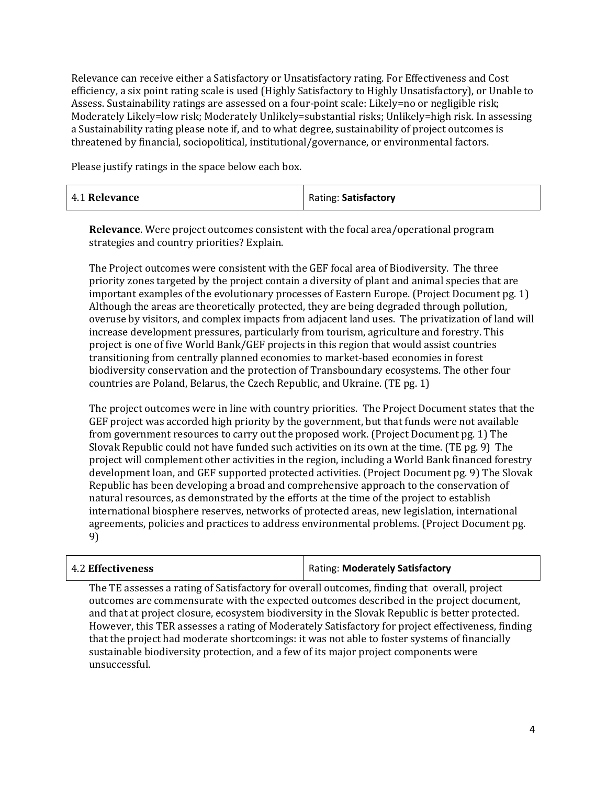Relevance can receive either a Satisfactory or Unsatisfactory rating. For Effectiveness and Cost efficiency, a six point rating scale is used (Highly Satisfactory to Highly Unsatisfactory), or Unable to Assess. Sustainability ratings are assessed on a four-point scale: Likely=no or negligible risk; Moderately Likely=low risk; Moderately Unlikely=substantial risks; Unlikely=high risk. In assessing a Sustainability rating please note if, and to what degree, sustainability of project outcomes is threatened by financial, sociopolitical, institutional/governance, or environmental factors.

Please justify ratings in the space below each box.

| 4.1 Relevance | Rating: Satisfactory |
|---------------|----------------------|
|---------------|----------------------|

**Relevance**. Were project outcomes consistent with the focal area/operational program strategies and country priorities? Explain.

The Project outcomes were consistent with the GEF focal area of Biodiversity. The three priority zones targeted by the project contain a diversity of plant and animal species that are important examples of the evolutionary processes of Eastern Europe. (Project Document pg. 1) Although the areas are theoretically protected, they are being degraded through pollution, overuse by visitors, and complex impacts from adjacent land uses. The privatization of land will increase development pressures, particularly from tourism, agriculture and forestry. This project is one of five World Bank/GEF projects in this region that would assist countries transitioning from centrally planned economies to market-based economies in forest biodiversity conservation and the protection of Transboundary ecosystems. The other four countries are Poland, Belarus, the Czech Republic, and Ukraine. (TE pg. 1)

The project outcomes were in line with country priorities. The Project Document states that the GEF project was accorded high priority by the government, but that funds were not available from government resources to carry out the proposed work. (Project Document pg. 1) The Slovak Republic could not have funded such activities on its own at the time. (TE pg. 9) The project will complement other activities in the region, including a World Bank financed forestry development loan, and GEF supported protected activities. (Project Document pg. 9) The Slovak Republic has been developing a broad and comprehensive approach to the conservation of natural resources, as demonstrated by the efforts at the time of the project to establish international biosphere reserves, networks of protected areas, new legislation, international agreements, policies and practices to address environmental problems. (Project Document pg. 9)

| 4.2 Effectiveness | Rating: Moderately Satisfactory |
|-------------------|---------------------------------|
|-------------------|---------------------------------|

The TE assesses a rating of Satisfactory for overall outcomes, finding that overall, project outcomes are commensurate with the expected outcomes described in the project document, and that at project closure, ecosystem biodiversity in the Slovak Republic is better protected. However, this TER assesses a rating of Moderately Satisfactory for project effectiveness, finding that the project had moderate shortcomings: it was not able to foster systems of financially sustainable biodiversity protection, and a few of its major project components were unsuccessful.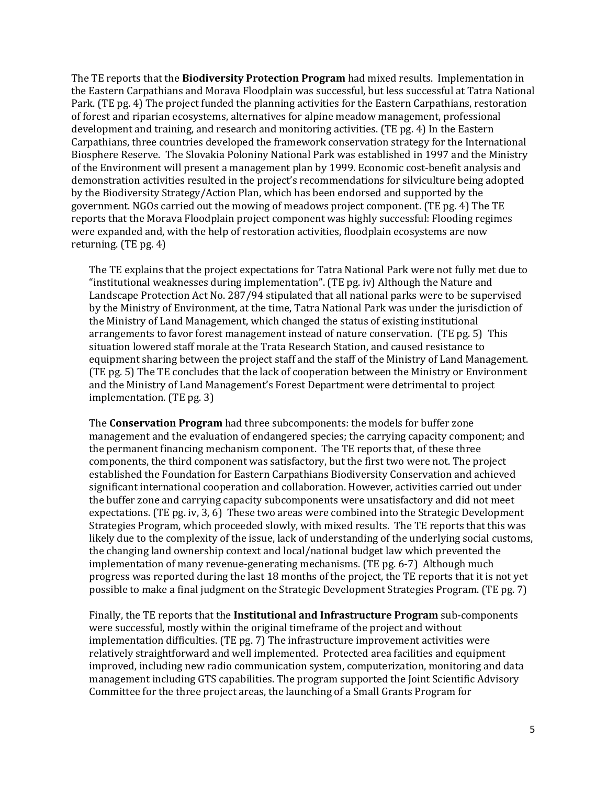The TE reports that the **Biodiversity Protection Program** had mixed results. Implementation in the Eastern Carpathians and Morava Floodplain was successful, but less successful at Tatra National Park. (TE pg. 4) The project funded the planning activities for the Eastern Carpathians, restoration of forest and riparian ecosystems, alternatives for alpine meadow management, professional development and training, and research and monitoring activities. (TE pg. 4) In the Eastern Carpathians, three countries developed the framework conservation strategy for the International Biosphere Reserve. The Slovakia Poloniny National Park was established in 1997 and the Ministry of the Environment will present a management plan by 1999. Economic cost-benefit analysis and demonstration activities resulted in the project's recommendations for silviculture being adopted by the Biodiversity Strategy/Action Plan, which has been endorsed and supported by the government. NGOs carried out the mowing of meadows project component. (TE pg. 4) The TE reports that the Morava Floodplain project component was highly successful: Flooding regimes were expanded and, with the help of restoration activities, floodplain ecosystems are now returning. (TE pg. 4)

The TE explains that the project expectations for Tatra National Park were not fully met due to "institutional weaknesses during implementation". (TE pg. iv) Although the Nature and Landscape Protection Act No. 287/94 stipulated that all national parks were to be supervised by the Ministry of Environment, at the time, Tatra National Park was under the jurisdiction of the Ministry of Land Management, which changed the status of existing institutional arrangements to favor forest management instead of nature conservation. (TE pg. 5) This situation lowered staff morale at the Trata Research Station, and caused resistance to equipment sharing between the project staff and the staff of the Ministry of Land Management. (TE pg. 5) The TE concludes that the lack of cooperation between the Ministry or Environment and the Ministry of Land Management's Forest Department were detrimental to project implementation. (TE pg. 3)

The **Conservation Program** had three subcomponents: the models for buffer zone management and the evaluation of endangered species; the carrying capacity component; and the permanent financing mechanism component. The TE reports that, of these three components, the third component was satisfactory, but the first two were not. The project established the Foundation for Eastern Carpathians Biodiversity Conservation and achieved significant international cooperation and collaboration. However, activities carried out under the buffer zone and carrying capacity subcomponents were unsatisfactory and did not meet expectations. (TE pg. iv, 3, 6) These two areas were combined into the Strategic Development Strategies Program, which proceeded slowly, with mixed results. The TE reports that this was likely due to the complexity of the issue, lack of understanding of the underlying social customs, the changing land ownership context and local/national budget law which prevented the implementation of many revenue-generating mechanisms. (TE pg. 6-7) Although much progress was reported during the last 18 months of the project, the TE reports that it is not yet possible to make a final judgment on the Strategic Development Strategies Program. (TE pg. 7)

Finally, the TE reports that the **Institutional and Infrastructure Program** sub-components were successful, mostly within the original timeframe of the project and without implementation difficulties. (TE pg. 7) The infrastructure improvement activities were relatively straightforward and well implemented. Protected area facilities and equipment improved, including new radio communication system, computerization, monitoring and data management including GTS capabilities. The program supported the Joint Scientific Advisory Committee for the three project areas, the launching of a Small Grants Program for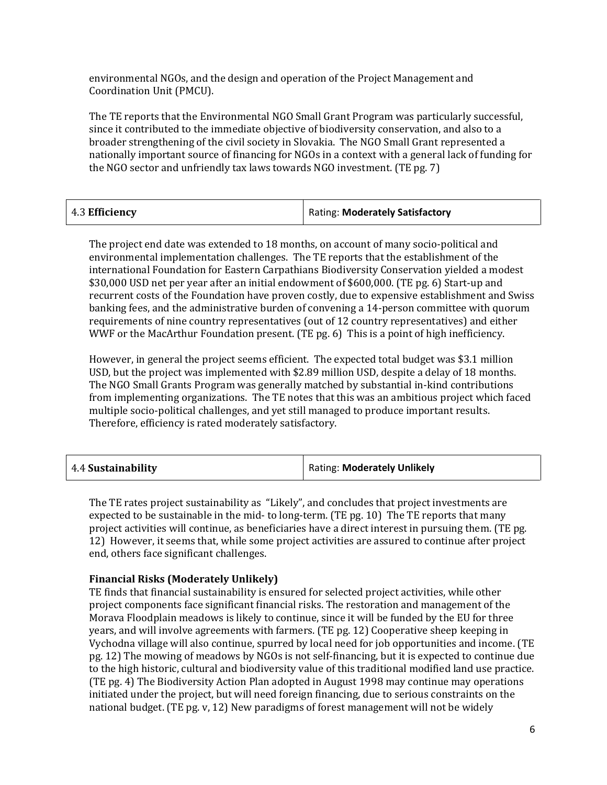environmental NGOs, and the design and operation of the Project Management and Coordination Unit (PMCU).

The TE reports that the Environmental NGO Small Grant Program was particularly successful, since it contributed to the immediate objective of biodiversity conservation, and also to a broader strengthening of the civil society in Slovakia. The NGO Small Grant represented a nationally important source of financing for NGOs in a context with a general lack of funding for the NGO sector and unfriendly tax laws towards NGO investment. (TE pg. 7)

| Rating: Moderately Satisfactory<br>$\vert$ 4.3 Efficiency |
|-----------------------------------------------------------|
|-----------------------------------------------------------|

The project end date was extended to 18 months, on account of many socio-political and environmental implementation challenges. The TE reports that the establishment of the international Foundation for Eastern Carpathians Biodiversity Conservation yielded a modest \$30,000 USD net per year after an initial endowment of \$600,000. (TE pg. 6) Start-up and recurrent costs of the Foundation have proven costly, due to expensive establishment and Swiss banking fees, and the administrative burden of convening a 14-person committee with quorum requirements of nine country representatives (out of 12 country representatives) and either WWF or the MacArthur Foundation present. (TE pg. 6) This is a point of high inefficiency.

However, in general the project seems efficient. The expected total budget was \$3.1 million USD, but the project was implemented with \$2.89 million USD, despite a delay of 18 months. The NGO Small Grants Program was generally matched by substantial in-kind contributions from implementing organizations. The TE notes that this was an ambitious project which faced multiple socio-political challenges, and yet still managed to produce important results. Therefore, efficiency is rated moderately satisfactory.

| 4.4 Sustainability | <b>Rating: Moderately Unlikely</b> |
|--------------------|------------------------------------|
|--------------------|------------------------------------|

The TE rates project sustainability as "Likely", and concludes that project investments are expected to be sustainable in the mid- to long-term. (TE pg. 10) The TE reports that many project activities will continue, as beneficiaries have a direct interest in pursuing them. (TE pg. 12) However, it seems that, while some project activities are assured to continue after project end, others face significant challenges.

#### **Financial Risks (Moderately Unlikely)**

TE finds that financial sustainability is ensured for selected project activities, while other project components face significant financial risks. The restoration and management of the Morava Floodplain meadows is likely to continue, since it will be funded by the EU for three years, and will involve agreements with farmers. (TE pg. 12) Cooperative sheep keeping in Vychodna village will also continue, spurred by local need for job opportunities and income. (TE pg. 12) The mowing of meadows by NGOs is not self-financing, but it is expected to continue due to the high historic, cultural and biodiversity value of this traditional modified land use practice. (TE pg. 4) The Biodiversity Action Plan adopted in August 1998 may continue may operations initiated under the project, but will need foreign financing, due to serious constraints on the national budget. (TE pg. v, 12) New paradigms of forest management will not be widely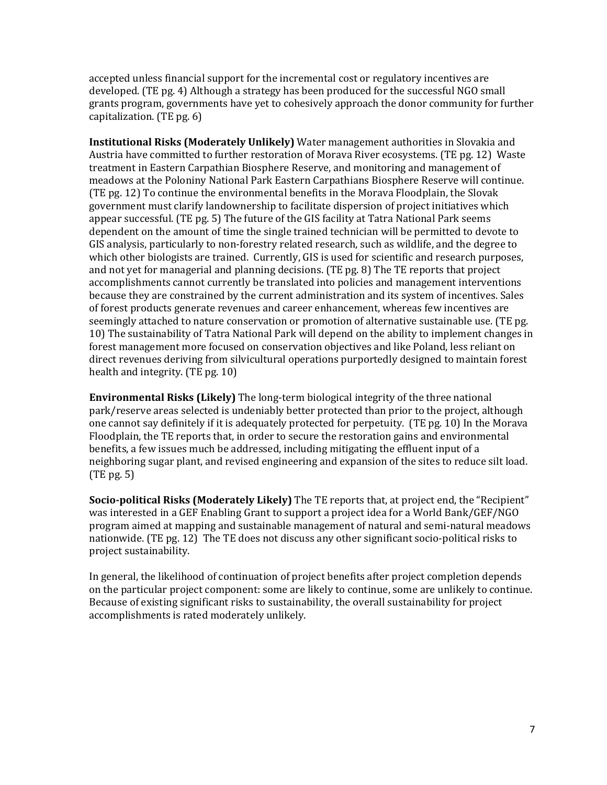accepted unless financial support for the incremental cost or regulatory incentives are developed. (TE pg. 4) Although a strategy has been produced for the successful NGO small grants program, governments have yet to cohesively approach the donor community for further capitalization. (TE pg. 6)

**Institutional Risks (Moderately Unlikely)** Water management authorities in Slovakia and Austria have committed to further restoration of Morava River ecosystems. (TE pg. 12) Waste treatment in Eastern Carpathian Biosphere Reserve, and monitoring and management of meadows at the Poloniny National Park Eastern Carpathians Biosphere Reserve will continue. (TE pg. 12) To continue the environmental benefits in the Morava Floodplain, the Slovak government must clarify landownership to facilitate dispersion of project initiatives which appear successful. (TE pg. 5) The future of the GIS facility at Tatra National Park seems dependent on the amount of time the single trained technician will be permitted to devote to GIS analysis, particularly to non-forestry related research, such as wildlife, and the degree to which other biologists are trained. Currently, GIS is used for scientific and research purposes, and not yet for managerial and planning decisions. (TE pg. 8) The TE reports that project accomplishments cannot currently be translated into policies and management interventions because they are constrained by the current administration and its system of incentives. Sales of forest products generate revenues and career enhancement, whereas few incentives are seemingly attached to nature conservation or promotion of alternative sustainable use. (TE pg. 10) The sustainability of Tatra National Park will depend on the ability to implement changes in forest management more focused on conservation objectives and like Poland, less reliant on direct revenues deriving from silvicultural operations purportedly designed to maintain forest health and integrity. (TE pg. 10)

**Environmental Risks (Likely)** The long-term biological integrity of the three national park/reserve areas selected is undeniably better protected than prior to the project, although one cannot say definitely if it is adequately protected for perpetuity. (TE pg. 10) In the Morava Floodplain, the TE reports that, in order to secure the restoration gains and environmental benefits, a few issues much be addressed, including mitigating the effluent input of a neighboring sugar plant, and revised engineering and expansion of the sites to reduce silt load. (TE pg. 5)

**Socio-political Risks (Moderately Likely)** The TE reports that, at project end, the "Recipient" was interested in a GEF Enabling Grant to support a project idea for a World Bank/GEF/NGO program aimed at mapping and sustainable management of natural and semi-natural meadows nationwide. (TE pg. 12) The TE does not discuss any other significant socio-political risks to project sustainability.

In general, the likelihood of continuation of project benefits after project completion depends on the particular project component: some are likely to continue, some are unlikely to continue. Because of existing significant risks to sustainability, the overall sustainability for project accomplishments is rated moderately unlikely.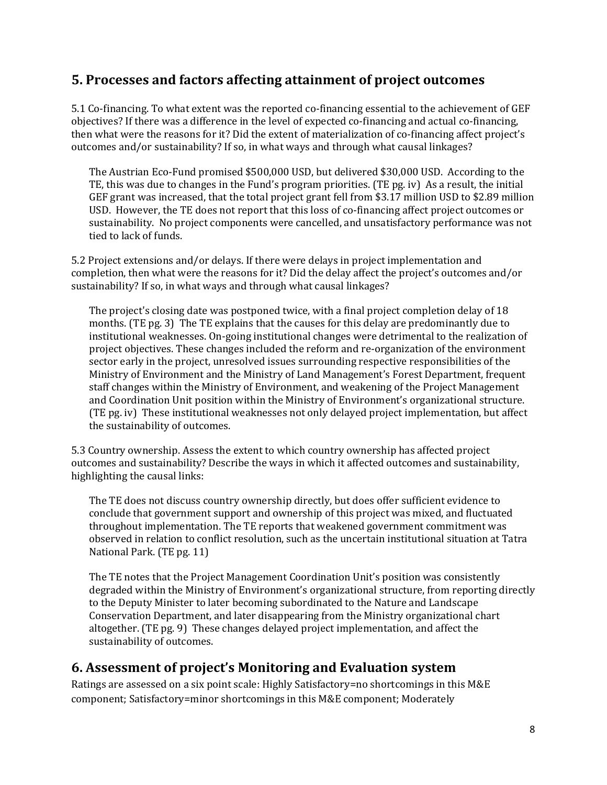#### **5. Processes and factors affecting attainment of project outcomes**

5.1 Co-financing. To what extent was the reported co-financing essential to the achievement of GEF objectives? If there was a difference in the level of expected co-financing and actual co-financing, then what were the reasons for it? Did the extent of materialization of co-financing affect project's outcomes and/or sustainability? If so, in what ways and through what causal linkages?

The Austrian Eco-Fund promised \$500,000 USD, but delivered \$30,000 USD. According to the TE, this was due to changes in the Fund's program priorities. (TE pg. iv) As a result, the initial GEF grant was increased, that the total project grant fell from \$3.17 million USD to \$2.89 million USD. However, the TE does not report that this loss of co-financing affect project outcomes or sustainability. No project components were cancelled, and unsatisfactory performance was not tied to lack of funds.

5.2 Project extensions and/or delays. If there were delays in project implementation and completion, then what were the reasons for it? Did the delay affect the project's outcomes and/or sustainability? If so, in what ways and through what causal linkages?

The project's closing date was postponed twice, with a final project completion delay of 18 months. (TE pg. 3) The TE explains that the causes for this delay are predominantly due to institutional weaknesses. On-going institutional changes were detrimental to the realization of project objectives. These changes included the reform and re-organization of the environment sector early in the project, unresolved issues surrounding respective responsibilities of the Ministry of Environment and the Ministry of Land Management's Forest Department, frequent staff changes within the Ministry of Environment, and weakening of the Project Management and Coordination Unit position within the Ministry of Environment's organizational structure. (TE pg. iv) These institutional weaknesses not only delayed project implementation, but affect the sustainability of outcomes.

5.3 Country ownership. Assess the extent to which country ownership has affected project outcomes and sustainability? Describe the ways in which it affected outcomes and sustainability, highlighting the causal links:

The TE does not discuss country ownership directly, but does offer sufficient evidence to conclude that government support and ownership of this project was mixed, and fluctuated throughout implementation. The TE reports that weakened government commitment was observed in relation to conflict resolution, such as the uncertain institutional situation at Tatra National Park. (TE pg. 11)

The TE notes that the Project Management Coordination Unit's position was consistently degraded within the Ministry of Environment's organizational structure, from reporting directly to the Deputy Minister to later becoming subordinated to the Nature and Landscape Conservation Department, and later disappearing from the Ministry organizational chart altogether. (TE pg. 9) These changes delayed project implementation, and affect the sustainability of outcomes.

#### **6. Assessment of project's Monitoring and Evaluation system**

Ratings are assessed on a six point scale: Highly Satisfactory=no shortcomings in this M&E component; Satisfactory=minor shortcomings in this M&E component; Moderately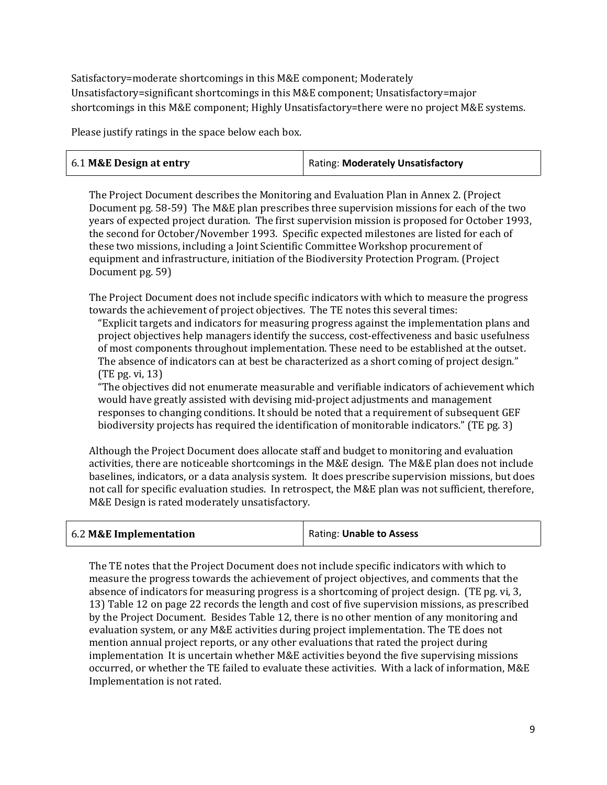Satisfactory=moderate shortcomings in this M&E component; Moderately Unsatisfactory=significant shortcomings in this M&E component; Unsatisfactory=major shortcomings in this M&E component; Highly Unsatisfactory=there were no project M&E systems.

Please justify ratings in the space below each box.

| 6.1 M&E Design at entry | Rating: Moderately Unsatisfactory |
|-------------------------|-----------------------------------|
|                         |                                   |

The Project Document describes the Monitoring and Evaluation Plan in Annex 2. (Project Document pg. 58-59) The M&E plan prescribes three supervision missions for each of the two years of expected project duration. The first supervision mission is proposed for October 1993, the second for October/November 1993. Specific expected milestones are listed for each of these two missions, including a Joint Scientific Committee Workshop procurement of equipment and infrastructure, initiation of the Biodiversity Protection Program. (Project Document pg. 59)

The Project Document does not include specific indicators with which to measure the progress towards the achievement of project objectives. The TE notes this several times:

"Explicit targets and indicators for measuring progress against the implementation plans and project objectives help managers identify the success, cost-effectiveness and basic usefulness of most components throughout implementation. These need to be established at the outset. The absence of indicators can at best be characterized as a short coming of project design." (TE pg. vi, 13)

"The objectives did not enumerate measurable and verifiable indicators of achievement which would have greatly assisted with devising mid-project adjustments and management responses to changing conditions. It should be noted that a requirement of subsequent GEF biodiversity projects has required the identification of monitorable indicators." (TE pg. 3)

Although the Project Document does allocate staff and budget to monitoring and evaluation activities, there are noticeable shortcomings in the M&E design. The M&E plan does not include baselines, indicators, or a data analysis system. It does prescribe supervision missions, but does not call for specific evaluation studies. In retrospect, the M&E plan was not sufficient, therefore, M&E Design is rated moderately unsatisfactory.

| 6.2 M&E Implementation | Rating: Unable to Assess |
|------------------------|--------------------------|
|------------------------|--------------------------|

The TE notes that the Project Document does not include specific indicators with which to measure the progress towards the achievement of project objectives, and comments that the absence of indicators for measuring progress is a shortcoming of project design. (TE pg. vi, 3, 13) Table 12 on page 22 records the length and cost of five supervision missions, as prescribed by the Project Document. Besides Table 12, there is no other mention of any monitoring and evaluation system, or any M&E activities during project implementation. The TE does not mention annual project reports, or any other evaluations that rated the project during implementation It is uncertain whether M&E activities beyond the five supervising missions occurred, or whether the TE failed to evaluate these activities. With a lack of information, M&E Implementation is not rated.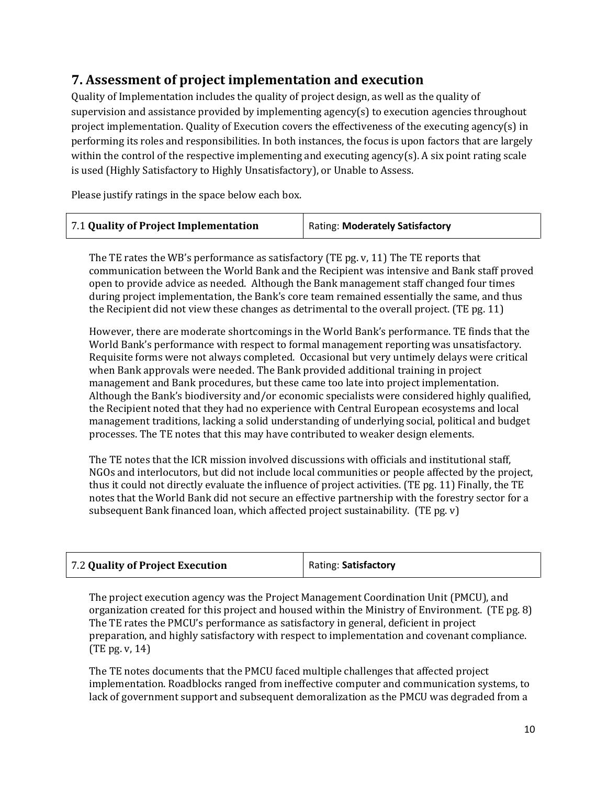## **7. Assessment of project implementation and execution**

Quality of Implementation includes the quality of project design, as well as the quality of supervision and assistance provided by implementing agency(s) to execution agencies throughout project implementation. Quality of Execution covers the effectiveness of the executing agency(s) in performing its roles and responsibilities. In both instances, the focus is upon factors that are largely within the control of the respective implementing and executing agency(s). A six point rating scale is used (Highly Satisfactory to Highly Unsatisfactory), or Unable to Assess.

Please justify ratings in the space below each box.

| 7.1 Quality of Project Implementation | Rating: Moderately Satisfactory |
|---------------------------------------|---------------------------------|
|---------------------------------------|---------------------------------|

The TE rates the WB's performance as satisfactory (TE pg. v, 11) The TE reports that communication between the World Bank and the Recipient was intensive and Bank staff proved open to provide advice as needed. Although the Bank management staff changed four times during project implementation, the Bank's core team remained essentially the same, and thus the Recipient did not view these changes as detrimental to the overall project. (TE pg. 11)

However, there are moderate shortcomings in the World Bank's performance. TE finds that the World Bank's performance with respect to formal management reporting was unsatisfactory. Requisite forms were not always completed. Occasional but very untimely delays were critical when Bank approvals were needed. The Bank provided additional training in project management and Bank procedures, but these came too late into project implementation. Although the Bank's biodiversity and/or economic specialists were considered highly qualified, the Recipient noted that they had no experience with Central European ecosystems and local management traditions, lacking a solid understanding of underlying social, political and budget processes. The TE notes that this may have contributed to weaker design elements.

The TE notes that the ICR mission involved discussions with officials and institutional staff, NGOs and interlocutors, but did not include local communities or people affected by the project, thus it could not directly evaluate the influence of project activities. (TE pg. 11) Finally, the TE notes that the World Bank did not secure an effective partnership with the forestry sector for a subsequent Bank financed loan, which affected project sustainability. (TE pg. v)

| 7.2 Quality of Project Execution | Rating: Satisfactory |
|----------------------------------|----------------------|
|----------------------------------|----------------------|

The project execution agency was the Project Management Coordination Unit (PMCU), and organization created for this project and housed within the Ministry of Environment. (TE pg. 8) The TE rates the PMCU's performance as satisfactory in general, deficient in project preparation, and highly satisfactory with respect to implementation and covenant compliance. (TE pg. v, 14)

The TE notes documents that the PMCU faced multiple challenges that affected project implementation. Roadblocks ranged from ineffective computer and communication systems, to lack of government support and subsequent demoralization as the PMCU was degraded from a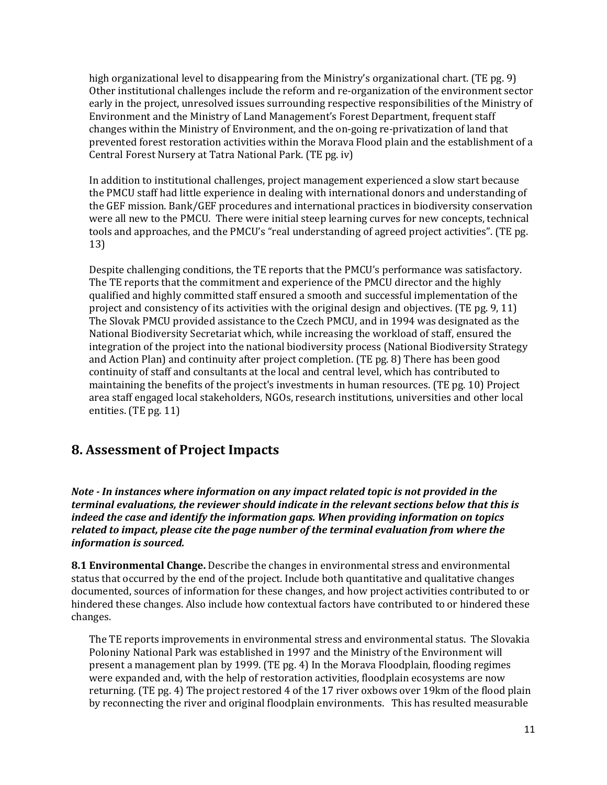high organizational level to disappearing from the Ministry's organizational chart. (TE pg. 9) Other institutional challenges include the reform and re-organization of the environment sector early in the project, unresolved issues surrounding respective responsibilities of the Ministry of Environment and the Ministry of Land Management's Forest Department, frequent staff changes within the Ministry of Environment, and the on-going re-privatization of land that prevented forest restoration activities within the Morava Flood plain and the establishment of a Central Forest Nursery at Tatra National Park. (TE pg. iv)

In addition to institutional challenges, project management experienced a slow start because the PMCU staff had little experience in dealing with international donors and understanding of the GEF mission. Bank/GEF procedures and international practices in biodiversity conservation were all new to the PMCU. There were initial steep learning curves for new concepts, technical tools and approaches, and the PMCU's "real understanding of agreed project activities". (TE pg. 13)

Despite challenging conditions, the TE reports that the PMCU's performance was satisfactory. The TE reports that the commitment and experience of the PMCU director and the highly qualified and highly committed staff ensured a smooth and successful implementation of the project and consistency of its activities with the original design and objectives. (TE pg. 9, 11) The Slovak PMCU provided assistance to the Czech PMCU, and in 1994 was designated as the National Biodiversity Secretariat which, while increasing the workload of staff, ensured the integration of the project into the national biodiversity process (National Biodiversity Strategy and Action Plan) and continuity after project completion. (TE pg. 8) There has been good continuity of staff and consultants at the local and central level, which has contributed to maintaining the benefits of the project's investments in human resources. (TE pg. 10) Project area staff engaged local stakeholders, NGOs, research institutions, universities and other local entities. (TE pg. 11)

### **8. Assessment of Project Impacts**

*Note - In instances where information on any impact related topic is not provided in the terminal evaluations, the reviewer should indicate in the relevant sections below that this is indeed the case and identify the information gaps. When providing information on topics related to impact, please cite the page number of the terminal evaluation from where the information is sourced.* 

**8.1 Environmental Change.** Describe the changes in environmental stress and environmental status that occurred by the end of the project. Include both quantitative and qualitative changes documented, sources of information for these changes, and how project activities contributed to or hindered these changes. Also include how contextual factors have contributed to or hindered these changes.

The TE reports improvements in environmental stress and environmental status. The Slovakia Poloniny National Park was established in 1997 and the Ministry of the Environment will present a management plan by 1999. (TE pg. 4) In the Morava Floodplain, flooding regimes were expanded and, with the help of restoration activities, floodplain ecosystems are now returning. (TE pg. 4) The project restored 4 of the 17 river oxbows over 19km of the flood plain by reconnecting the river and original floodplain environments. This has resulted measurable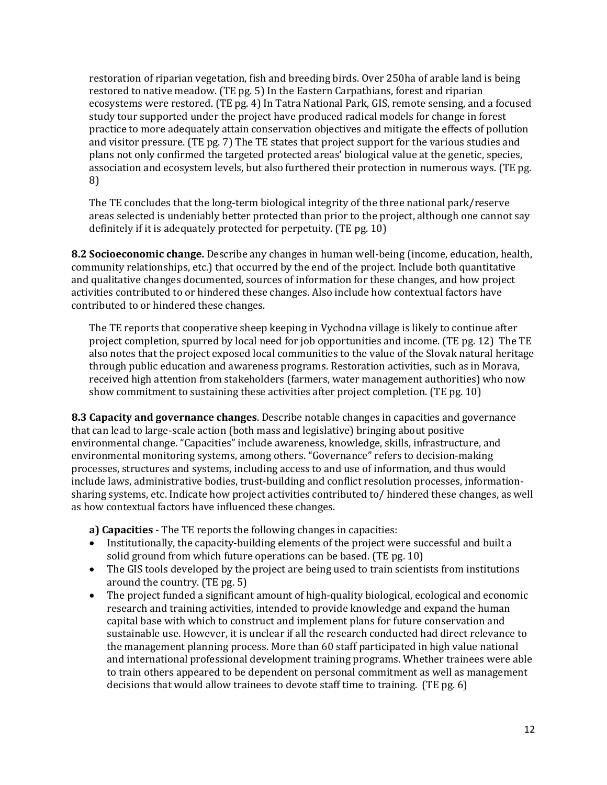restoration of riparian vegetation, fish and breeding birds. Over 250ha of arable land is being restored to native meadow. (TE pg. 5) In the Eastern Carpathians, forest and riparian ecosystems were restored. (TE pg. 4) In Tatra National Park, GIS, remote sensing, and a focused study tour supported under the project have produced radical models for change in forest practice to more adequately attain conservation objectives and mitigate the effects of pollution and visitor pressure. (TE pg. 7) The TE states that project support for the various studies and plans not only confirmed the targeted protected areas' biological value at the genetic, species, association and ecosystem levels, but also furthered their protection in numerous ways. (TE pg. 8)

The TE concludes that the long-term biological integrity of the three national park/reserve areas selected is undeniably better protected than prior to the project, although one cannot say definitely if it is adequately protected for perpetuity. (TE pg. 10)

**8.2 Socioeconomic change.** Describe any changes in human well-being (income, education, health, community relationships, etc.) that occurred by the end of the project. Include both quantitative and qualitative changes documented, sources of information for these changes, and how project activities contributed to or hindered these changes. Also include how contextual factors have contributed to or hindered these changes.

The TE reports that cooperative sheep keeping in Vychodna village is likely to continue after project completion, spurred by local need for job opportunities and income. (TE pg. 12) The TE also notes that the project exposed local communities to the value of the Slovak natural heritage through public education and awareness programs. Restoration activities, such as in Morava, received high attention from stakeholders (farmers, water management authorities) who now show commitment to sustaining these activities after project completion. (TE pg. 10)

**8.3 Capacity and governance changes**. Describe notable changes in capacities and governance that can lead to large-scale action (both mass and legislative) bringing about positive environmental change. "Capacities" include awareness, knowledge, skills, infrastructure, and environmental monitoring systems, among others. "Governance" refers to decision-making processes, structures and systems, including access to and use of information, and thus would include laws, administrative bodies, trust-building and conflict resolution processes, informationsharing systems, etc. Indicate how project activities contributed to/ hindered these changes, as well as how contextual factors have influenced these changes.

**a) Capacities** - The TE reports the following changes in capacities:

- Institutionally, the capacity-building elements of the project were successful and built a solid ground from which future operations can be based. (TE pg. 10)
- The GIS tools developed by the project are being used to train scientists from institutions around the country. (TE pg. 5)
- The project funded a significant amount of high-quality biological, ecological and economic research and training activities, intended to provide knowledge and expand the human capital base with which to construct and implement plans for future conservation and sustainable use. However, it is unclear if all the research conducted had direct relevance to the management planning process. More than 60 staff participated in high value national and international professional development training programs. Whether trainees were able to train others appeared to be dependent on personal commitment as well as management decisions that would allow trainees to devote staff time to training. (TE pg. 6)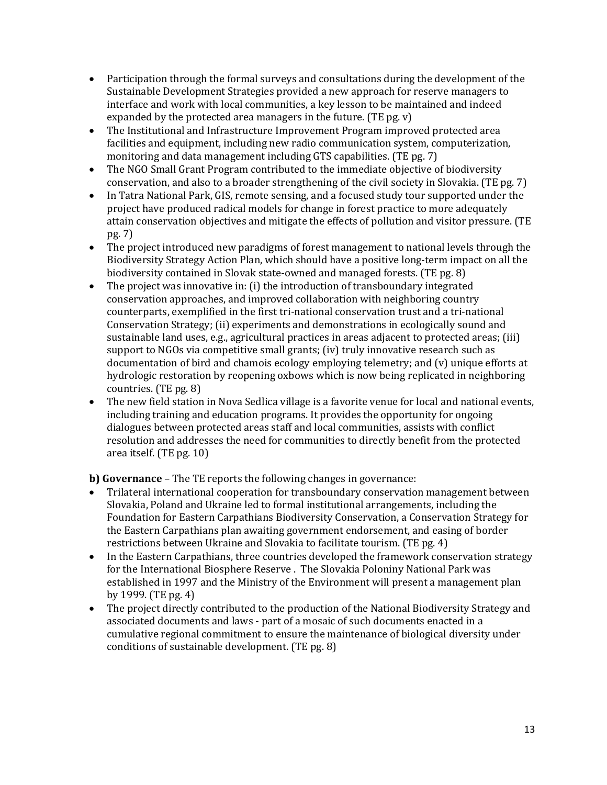- Participation through the formal surveys and consultations during the development of the Sustainable Development Strategies provided a new approach for reserve managers to interface and work with local communities, a key lesson to be maintained and indeed expanded by the protected area managers in the future. (TE pg. v)
- The Institutional and Infrastructure Improvement Program improved protected area facilities and equipment, including new radio communication system, computerization, monitoring and data management including GTS capabilities. (TE pg. 7)
- The NGO Small Grant Program contributed to the immediate objective of biodiversity conservation, and also to a broader strengthening of the civil society in Slovakia. (TE pg. 7)
- In Tatra National Park, GIS, remote sensing, and a focused study tour supported under the project have produced radical models for change in forest practice to more adequately attain conservation objectives and mitigate the effects of pollution and visitor pressure. (TE pg. 7)
- The project introduced new paradigms of forest management to national levels through the Biodiversity Strategy Action Plan, which should have a positive long-term impact on all the biodiversity contained in Slovak state-owned and managed forests. (TE pg. 8)
- The project was innovative in: (i) the introduction of transboundary integrated conservation approaches, and improved collaboration with neighboring country counterparts, exemplified in the first tri-national conservation trust and a tri-national Conservation Strategy; (ii) experiments and demonstrations in ecologically sound and sustainable land uses, e.g., agricultural practices in areas adjacent to protected areas; (iii) support to NGOs via competitive small grants; (iv) truly innovative research such as documentation of bird and chamois ecology employing telemetry; and (v) unique efforts at hydrologic restoration by reopening oxbows which is now being replicated in neighboring countries. (TE pg. 8)
- The new field station in Nova Sedlica village is a favorite venue for local and national events, including training and education programs. It provides the opportunity for ongoing dialogues between protected areas staff and local communities, assists with conflict resolution and addresses the need for communities to directly benefit from the protected area itself. (TE pg. 10)

**b) Governance** – The TE reports the following changes in governance:

- Trilateral international cooperation for transboundary conservation management between Slovakia, Poland and Ukraine led to formal institutional arrangements, including the Foundation for Eastern Carpathians Biodiversity Conservation, a Conservation Strategy for the Eastern Carpathians plan awaiting government endorsement, and easing of border restrictions between Ukraine and Slovakia to facilitate tourism. (TE pg. 4)
- In the Eastern Carpathians, three countries developed the framework conservation strategy for the International Biosphere Reserve . The Slovakia Poloniny National Park was established in 1997 and the Ministry of the Environment will present a management plan by 1999. (TE pg. 4)
- The project directly contributed to the production of the National Biodiversity Strategy and associated documents and laws - part of a mosaic of such documents enacted in a cumulative regional commitment to ensure the maintenance of biological diversity under conditions of sustainable development. (TE pg. 8)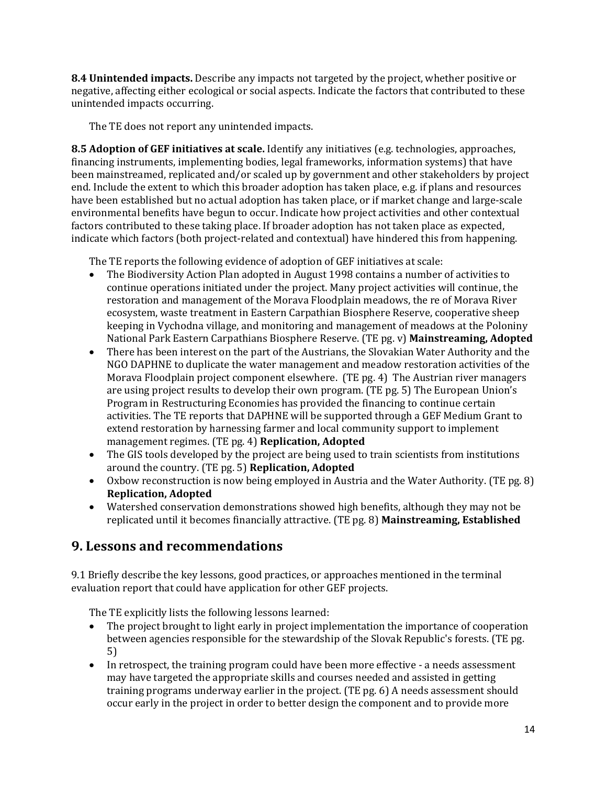**8.4 Unintended impacts.** Describe any impacts not targeted by the project, whether positive or negative, affecting either ecological or social aspects. Indicate the factors that contributed to these unintended impacts occurring.

The TE does not report any unintended impacts.

**8.5 Adoption of GEF initiatives at scale.** Identify any initiatives (e.g. technologies, approaches, financing instruments, implementing bodies, legal frameworks, information systems) that have been mainstreamed, replicated and/or scaled up by government and other stakeholders by project end. Include the extent to which this broader adoption has taken place, e.g. if plans and resources have been established but no actual adoption has taken place, or if market change and large-scale environmental benefits have begun to occur. Indicate how project activities and other contextual factors contributed to these taking place. If broader adoption has not taken place as expected, indicate which factors (both project-related and contextual) have hindered this from happening.

The TE reports the following evidence of adoption of GEF initiatives at scale:

- The Biodiversity Action Plan adopted in August 1998 contains a number of activities to continue operations initiated under the project. Many project activities will continue, the restoration and management of the Morava Floodplain meadows, the re of Morava River ecosystem, waste treatment in Eastern Carpathian Biosphere Reserve, cooperative sheep keeping in Vychodna village, and monitoring and management of meadows at the Poloniny National Park Eastern Carpathians Biosphere Reserve. (TE pg. v) **Mainstreaming, Adopted**
- There has been interest on the part of the Austrians, the Slovakian Water Authority and the NGO DAPHNE to duplicate the water management and meadow restoration activities of the Morava Floodplain project component elsewhere. (TE pg. 4) The Austrian river managers are using project results to develop their own program. (TE pg. 5) The European Union's Program in Restructuring Economies has provided the financing to continue certain activities. The TE reports that DAPHNE will be supported through a GEF Medium Grant to extend restoration by harnessing farmer and local community support to implement management regimes. (TE pg. 4) **Replication, Adopted**
- The GIS tools developed by the project are being used to train scientists from institutions around the country. (TE pg. 5) **Replication, Adopted**
- Oxbow reconstruction is now being employed in Austria and the Water Authority. (TE pg. 8) **Replication, Adopted**
- Watershed conservation demonstrations showed high benefits, although they may not be replicated until it becomes financially attractive. (TE pg. 8) **Mainstreaming, Established**

## **9. Lessons and recommendations**

9.1 Briefly describe the key lessons, good practices, or approaches mentioned in the terminal evaluation report that could have application for other GEF projects.

The TE explicitly lists the following lessons learned:

- The project brought to light early in project implementation the importance of cooperation between agencies responsible for the stewardship of the Slovak Republic's forests. (TE pg. 5)
- In retrospect, the training program could have been more effective a needs assessment may have targeted the appropriate skills and courses needed and assisted in getting training programs underway earlier in the project. (TE pg. 6) A needs assessment should occur early in the project in order to better design the component and to provide more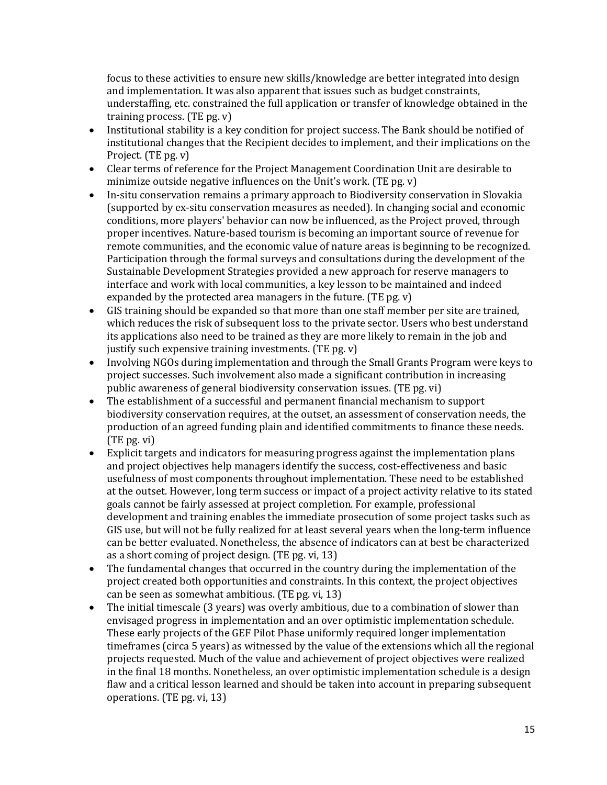focus to these activities to ensure new skills/knowledge are better integrated into design and implementation. It was also apparent that issues such as budget constraints, understaffing, etc. constrained the full application or transfer of knowledge obtained in the training process. (TE pg. v)

- Institutional stability is a key condition for project success. The Bank should be notified of institutional changes that the Recipient decides to implement, and their implications on the Project. (TE pg. v)
- Clear terms of reference for the Project Management Coordination Unit are desirable to minimize outside negative influences on the Unit's work. (TE pg. v)
- In-situ conservation remains a primary approach to Biodiversity conservation in Slovakia (supported by ex-situ conservation measures as needed). In changing social and economic conditions, more players' behavior can now be influenced, as the Project proved, through proper incentives. Nature-based tourism is becoming an important source of revenue for remote communities, and the economic value of nature areas is beginning to be recognized. Participation through the formal surveys and consultations during the development of the Sustainable Development Strategies provided a new approach for reserve managers to interface and work with local communities, a key lesson to be maintained and indeed expanded by the protected area managers in the future. (TE pg. v)
- GIS training should be expanded so that more than one staff member per site are trained, which reduces the risk of subsequent loss to the private sector. Users who best understand its applications also need to be trained as they are more likely to remain in the job and justify such expensive training investments. (TE pg. v)
- Involving NGOs during implementation and through the Small Grants Program were keys to project successes. Such involvement also made a significant contribution in increasing public awareness of general biodiversity conservation issues. (TE pg. vi)
- The establishment of a successful and permanent financial mechanism to support biodiversity conservation requires, at the outset, an assessment of conservation needs, the production of an agreed funding plain and identified commitments to finance these needs. (TE pg. vi)
- Explicit targets and indicators for measuring progress against the implementation plans and project objectives help managers identify the success, cost-effectiveness and basic usefulness of most components throughout implementation. These need to be established at the outset. However, long term success or impact of a project activity relative to its stated goals cannot be fairly assessed at project completion. For example, professional development and training enables the immediate prosecution of some project tasks such as GIS use, but will not be fully realized for at least several years when the long-term influence can be better evaluated. Nonetheless, the absence of indicators can at best be characterized as a short coming of project design. (TE pg. vi, 13)
- The fundamental changes that occurred in the country during the implementation of the project created both opportunities and constraints. In this context, the project objectives can be seen as somewhat ambitious. (TE pg. vi, 13)
- The initial timescale (3 years) was overly ambitious, due to a combination of slower than envisaged progress in implementation and an over optimistic implementation schedule. These early projects of the GEF Pilot Phase uniformly required longer implementation timeframes (circa 5 years) as witnessed by the value of the extensions which all the regional projects requested. Much of the value and achievement of project objectives were realized in the final 18 months. Nonetheless, an over optimistic implementation schedule is a design flaw and a critical lesson learned and should be taken into account in preparing subsequent operations. (TE pg. vi, 13)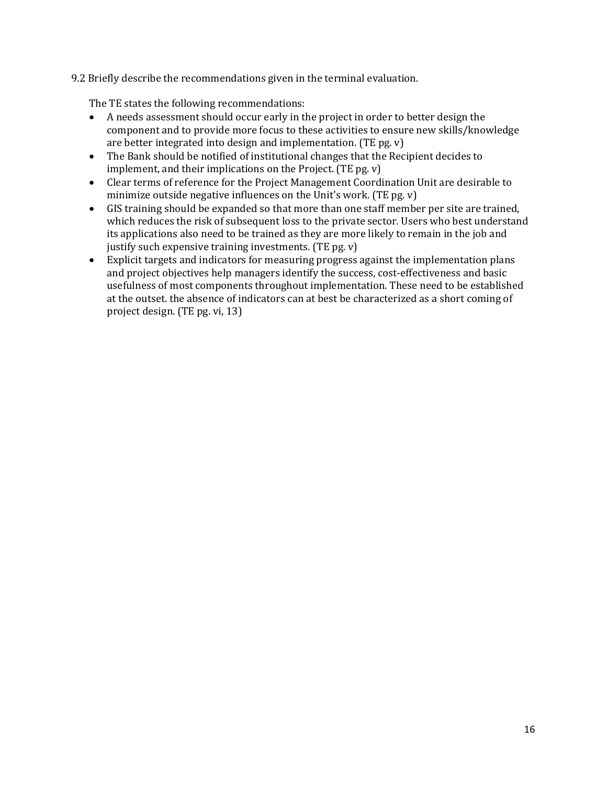#### 9.2 Briefly describe the recommendations given in the terminal evaluation.

The TE states the following recommendations:

- A needs assessment should occur early in the project in order to better design the component and to provide more focus to these activities to ensure new skills/knowledge are better integrated into design and implementation. (TE pg. v)
- The Bank should be notified of institutional changes that the Recipient decides to implement, and their implications on the Project. (TE pg. v)
- Clear terms of reference for the Project Management Coordination Unit are desirable to minimize outside negative influences on the Unit's work. (TE pg. v)
- GIS training should be expanded so that more than one staff member per site are trained, which reduces the risk of subsequent loss to the private sector. Users who best understand its applications also need to be trained as they are more likely to remain in the job and justify such expensive training investments. (TE pg. v)
- Explicit targets and indicators for measuring progress against the implementation plans and project objectives help managers identify the success, cost-effectiveness and basic usefulness of most components throughout implementation. These need to be established at the outset. the absence of indicators can at best be characterized as a short coming of project design. (TE pg. vi, 13)